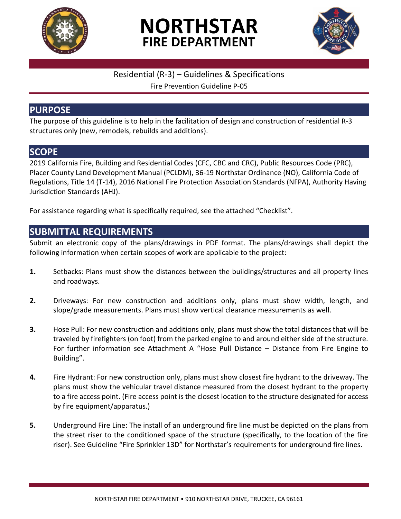





#### Residential (R-3) – Guidelines & Specifications

Fire Prevention Guideline P-05

## **PURPOSE**

The purpose of this guideline is to help in the facilitation of design and construction of residential R-3 structures only (new, remodels, rebuilds and additions).

## **SCOPE**

2019 California Fire, Building and Residential Codes (CFC, CBC and CRC), Public Resources Code (PRC), Placer County Land Development Manual (PCLDM), 36-19 Northstar Ordinance (NO), California Code of Regulations, Title 14 (T-14), 2016 National Fire Protection Association Standards (NFPA), Authority Having Jurisdiction Standards (AHJ).

For assistance regarding what is specifically required, see the attached "Checklist".

### **SUBMITTAL REQUIREMENTS**

Submit an electronic copy of the plans/drawings in PDF format. The plans/drawings shall depict the following information when certain scopes of work are applicable to the project:

- **1.** Setbacks: Plans must show the distances between the buildings/structures and all property lines and roadways.
- **2.** Driveways: For new construction and additions only, plans must show width, length, and slope/grade measurements. Plans must show vertical clearance measurements as well.
- **3.** Hose Pull: For new construction and additions only, plans must show the total distances that will be traveled by firefighters (on foot) from the parked engine to and around either side of the structure. For further information see Attachment A "Hose Pull Distance – Distance from Fire Engine to Building".
- **4.** Fire Hydrant: For new construction only, plans must show closest fire hydrant to the driveway. The plans must show the vehicular travel distance measured from the closest hydrant to the property to a fire access point. (Fire access point is the closest location to the structure designated for access by fire equipment/apparatus.)
- **5.** Underground Fire Line: The install of an underground fire line must be depicted on the plans from the street riser to the conditioned space of the structure (specifically, to the location of the fire riser). See Guideline "Fire Sprinkler 13D" for Northstar's requirements for underground fire lines.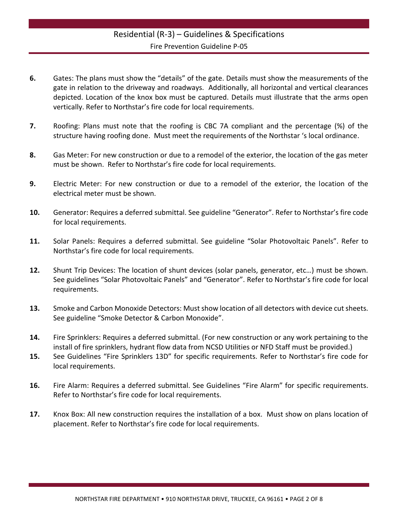- **6.** Gates: The plans must show the "details" of the gate. Details must show the measurements of the gate in relation to the driveway and roadways. Additionally, all horizontal and vertical clearances depicted. Location of the knox box must be captured. Details must illustrate that the arms open vertically. Refer to Northstar's fire code for local requirements.
- **7.** Roofing: Plans must note that the roofing is CBC 7A compliant and the percentage (%) of the structure having roofing done. Must meet the requirements of the Northstar 's local ordinance.
- **8.** Gas Meter: For new construction or due to a remodel of the exterior, the location of the gas meter must be shown. Refer to Northstar's fire code for local requirements.
- **9.** Electric Meter: For new construction or due to a remodel of the exterior, the location of the electrical meter must be shown.
- **10.** Generator: Requires a deferred submittal. See guideline "Generator". Refer to Northstar's fire code for local requirements.
- **11.** Solar Panels: Requires a deferred submittal. See guideline "Solar Photovoltaic Panels". Refer to Northstar's fire code for local requirements.
- **12.** Shunt Trip Devices: The location of shunt devices (solar panels, generator, etc…) must be shown. See guidelines "Solar Photovoltaic Panels" and "Generator". Refer to Northstar's fire code for local requirements.
- **13.** Smoke and Carbon Monoxide Detectors: Must show location of all detectors with device cut sheets. See guideline "Smoke Detector & Carbon Monoxide".
- **14.** Fire Sprinklers: Requires a deferred submittal. (For new construction or any work pertaining to the install of fire sprinklers, hydrant flow data from NCSD Utilities or NFD Staff must be provided.)
- **15.** See Guidelines "Fire Sprinklers 13D" for specific requirements. Refer to Northstar's fire code for local requirements.
- **16.** Fire Alarm: Requires a deferred submittal. See Guidelines "Fire Alarm" for specific requirements. Refer to Northstar's fire code for local requirements.
- **17.** Knox Box: All new construction requires the installation of a box. Must show on plans location of placement. Refer to Northstar's fire code for local requirements.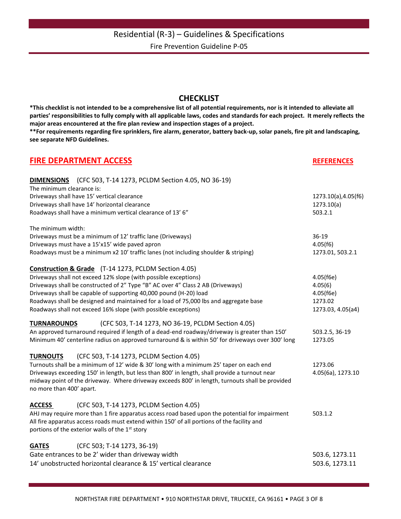#### **CHECKLIST**

**\*This checklist is not intended to be a comprehensive list of all potential requirements, nor is it intended to alleviate all parties' responsibilities to fully comply with all applicable laws, codes and standards for each project. It merely reflects the major areas encountered at the fire plan review and inspection stages of a project.**

**\*\*For requirements regarding fire sprinklers, fire alarm, generator, battery back-up, solar panels, fire pit and landscaping, see separate NFD Guidelines.**

| <b>FIRE DEPARTMENT ACCESS</b>                                                                                                                                                                 | <b>REFERENCES</b>   |  |
|-----------------------------------------------------------------------------------------------------------------------------------------------------------------------------------------------|---------------------|--|
| <b>DIMENSIONS</b> (CFC 503, T-14 1273, PCLDM Section 4.05, NO 36-19)                                                                                                                          |                     |  |
| The minimum clearance is:                                                                                                                                                                     |                     |  |
| Driveways shall have 15' vertical clearance                                                                                                                                                   | 1273.10(a),4.05(f6) |  |
| Driveways shall have 14' horizontal clearance                                                                                                                                                 | 1273.10(a)          |  |
| Roadways shall have a minimum vertical clearance of 13' 6"                                                                                                                                    | 503.2.1             |  |
| The minimum width:                                                                                                                                                                            |                     |  |
| Driveways must be a minimum of 12' traffic lane (Driveways)                                                                                                                                   | $36-19$             |  |
| Driveways must have a 15'x15' wide paved apron                                                                                                                                                | 4.05(f6)            |  |
| Roadways must be a minimum x2 10' traffic lanes (not including shoulder & striping)                                                                                                           | 1273.01, 503.2.1    |  |
| <b>Construction &amp; Grade</b> (T-14 1273, PCLDM Section 4.05)                                                                                                                               |                     |  |
| Driveways shall not exceed 12% slope (with possible exceptions)                                                                                                                               | 4.05(f6e)           |  |
| Driveways shall be constructed of 2" Type "B" AC over 4" Class 2 AB (Driveways)                                                                                                               | 4.05(6)             |  |
| Driveways shall be capable of supporting 40,000 pound (H-20) load                                                                                                                             | 4.05(f6e)           |  |
| Roadways shall be designed and maintained for a load of 75,000 lbs and aggregate base                                                                                                         | 1273.02             |  |
| Roadways shall not exceed 16% slope (with possible exceptions)                                                                                                                                | 1273.03, 4.05(a4)   |  |
| (CFC 503, T-14 1273, NO 36-19, PCLDM Section 4.05)<br><b>TURNAROUNDS</b>                                                                                                                      |                     |  |
| An approved turnaround required if length of a dead-end roadway/driveway is greater than 150'                                                                                                 | 503.2.5, 36-19      |  |
| Minimum 40' centerline radius on approved turnaround & is within 50' for driveways over 300' long                                                                                             | 1273.05             |  |
| <b>TURNOUTS</b><br>(CFC 503, T-14 1273, PCLDM Section 4.05)                                                                                                                                   |                     |  |
| Turnouts shall be a minimum of 12' wide & 30' long with a minimum 25' taper on each end                                                                                                       | 1273.06             |  |
| Driveways exceeding 150' in length, but less than 800' in length, shall provide a turnout near                                                                                                | 4.05(6a), 1273.10   |  |
| midway point of the driveway. Where driveway exceeds 800' in length, turnouts shall be provided<br>no more than 400' apart.                                                                   |                     |  |
|                                                                                                                                                                                               |                     |  |
| (CFC 503, T-14 1273, PCLDM Section 4.05)<br><b>ACCESS</b>                                                                                                                                     |                     |  |
| AHJ may require more than 1 fire apparatus access road based upon the potential for impairment<br>All fire apparatus access roads must extend within 150' of all portions of the facility and | 503.1.2             |  |
| portions of the exterior walls of the 1 <sup>st</sup> story                                                                                                                                   |                     |  |
| (CFC 503; T-14 1273, 36-19)<br><b>GATES</b>                                                                                                                                                   |                     |  |
| Gate entrances to be 2' wider than driveway width                                                                                                                                             | 503.6, 1273.11      |  |
| 14' unobstructed horizontal clearance & 15' vertical clearance                                                                                                                                |                     |  |
|                                                                                                                                                                                               | 503.6, 1273.11      |  |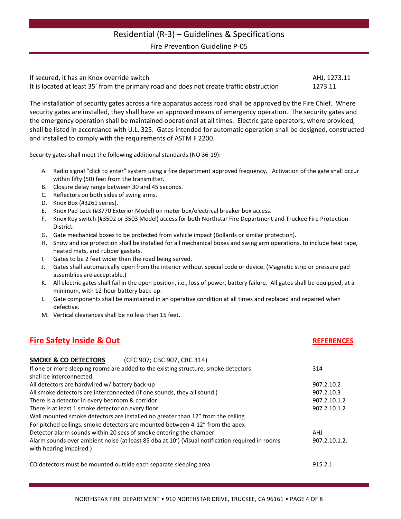| If secured, it has an Knox override switch                                               | AHJ. 1273.11 |
|------------------------------------------------------------------------------------------|--------------|
| It is located at least 35' from the primary road and does not create traffic obstruction | 1273.11      |

The installation of security gates across a fire apparatus access road shall be approved by the Fire Chief. Where security gates are installed, they shall have an approved means of emergency operation. The security gates and the emergency operation shall be maintained operational at all times. Electric gate operators, where provided, shall be listed in accordance with U.L. 325. Gates intended for automatic operation shall be designed, constructed and installed to comply with the requirements of ASTM F 2200.

Security gates shall meet the following additional standards (NO 36-19):

- A. Radio signal "click to enter" system using a fire department approved frequency. Activation of the gate shall occur within fifty (50) feet from the transmitter.
- B. Closure delay range between 30 and 45 seconds.
- C. Reflectors on both sides of swing arms.
- D. Knox Box (#3261 series).
- E. Knox Pad Lock (#3770 Exterior Model) on meter box/electrical breaker box access.
- F. Knox Key switch (#3502 or 3503 Model) access for both Northstar Fire Department and Truckee Fire Protection District.
- G. Gate mechanical boxes to be protected from vehicle impact (Bollards or similar protection).
- H. Snow and ice protection shall be installed for all mechanical boxes and swing arm operations, to include heat tape, heated mats, and rubber gaskets.
- I. Gates to be 2 feet wider than the road being served.
- J. Gates shall automatically open from the interior without special code or device. (Magnetic strip or pressure pad assemblies are acceptable.)
- K. All electric gates shall fail in the open position, i.e., loss of power, battery failure. All gates shall be equipped, at a minimum, with 12-hour battery back-up.
- L. Gate components shall be maintained in an operative condition at all times and replaced and repaired when defective.
- M. Vertical clearances shall be no less than 15 feet.

#### **Fire Safety Inside & Out REFERENCES**

| (CFC 907; CBC 907, CRC 314)<br><b>SMOKE &amp; CO DETECTORS</b>                                  |               |
|-------------------------------------------------------------------------------------------------|---------------|
| If one or more sleeping rooms are added to the existing structure, smoke detectors              | 314           |
| shall be interconnected.                                                                        |               |
| All detectors are hardwired w/ battery back-up                                                  | 907.2.10.2    |
| All smoke detectors are interconnected (If one sounds, they all sound.)                         | 907.2.10.3    |
| There is a detector in every bedroom & corridor                                                 | 907.2.10.1.2  |
| There is at least 1 smoke detector on every floor                                               | 907.2.10.1.2  |
| Wall mounted smoke detectors are installed no greater than 12" from the ceiling                 |               |
| For pitched ceilings, smoke detectors are mounted between 4-12" from the apex                   |               |
| Detector alarm sounds within 20 secs of smoke entering the chamber                              | <b>AHJ</b>    |
| Alarm sounds over ambient noise (at least 85 dba at 10') (Visual notification required in rooms | 907.2.10.1.2. |
| with hearing impaired.)                                                                         |               |
| CO detectors must be mounted outside each separate sleeping area                                | 915.2.1       |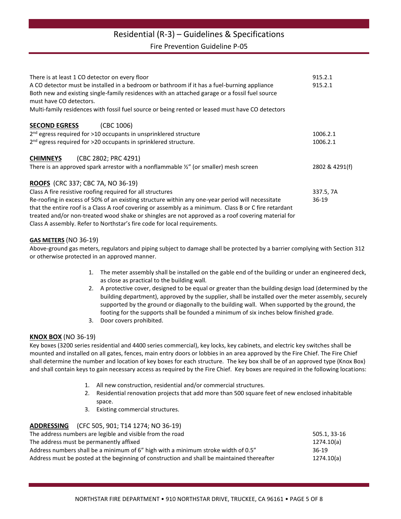## Residential (R-3) – Guidelines & Specifications

Fire Prevention Guideline P-05

| There is at least 1 CO detector on every floor                                                                                                                                                                           | 915.2.1        |  |
|--------------------------------------------------------------------------------------------------------------------------------------------------------------------------------------------------------------------------|----------------|--|
| A CO detector must be installed in a bedroom or bathroom if it has a fuel-burning appliance<br>Both new and existing single-family residences with an attached garage or a fossil fuel source<br>must have CO detectors. | 915.2.1        |  |
| Multi-family residences with fossil fuel source or being rented or leased must have CO detectors                                                                                                                         |                |  |
| <b>SECOND EGRESS</b><br>(CBC 1006)                                                                                                                                                                                       |                |  |
| 2 <sup>nd</sup> egress required for >10 occupants in unsprinklered structure                                                                                                                                             | 1006.2.1       |  |
| 2 <sup>nd</sup> egress required for >20 occupants in sprinklered structure.                                                                                                                                              | 1006.2.1       |  |
| (CBC 2802; PRC 4291)<br><b>CHIMNEYS</b>                                                                                                                                                                                  |                |  |
| There is an approved spark arrestor with a nonflammable $\frac{y}{z}$ (or smaller) mesh screen                                                                                                                           | 2802 & 4291(f) |  |
| <b>ROOFS</b> (CRC 337; CBC 7A, NO 36-19)                                                                                                                                                                                 |                |  |
| Class A fire resistive roofing required for all structures                                                                                                                                                               | 337.5, 7A      |  |
| Re-roofing in excess of 50% of an existing structure within any one-year period will necessitate                                                                                                                         | $36-19$        |  |
| that the entire roof is a Class A roof covering or assembly as a minimum. Class B or C fire retardant                                                                                                                    |                |  |
| treated and/or non-treated wood shake or shingles are not approved as a roof covering material for                                                                                                                       |                |  |
| Class A assembly. Refer to Northstar's fire code for local requirements.                                                                                                                                                 |                |  |

#### **GAS METERS** (NO 36-19)

Above-ground gas meters, regulators and piping subject to damage shall be protected by a barrier complying with Section 312 or otherwise protected in an approved manner.

- 1. The meter assembly shall be installed on the gable end of the building or under an engineered deck, as close as practical to the building wall.
- 2. A protective cover, designed to be equal or greater than the building design load (determined by the building department), approved by the supplier, shall be installed over the meter assembly, securely supported by the ground or diagonally to the building wall. When supported by the ground, the footing for the supports shall be founded a minimum of six inches below finished grade.
- 3. Door covers prohibited.

#### **KNOX BOX** (NO 36-19)

Key boxes (3200 series residential and 4400 series commercial), key locks, key cabinets, and electric key switches shall be mounted and installed on all gates, fences, main entry doors or lobbies in an area approved by the Fire Chief. The Fire Chief shall determine the number and location of key boxes for each structure. The key box shall be of an approved type (Knox Box) and shall contain keys to gain necessary access as required by the Fire Chief. Key boxes are required in the following locations:

- 1. All new construction, residential and/or commercial structures.
- 2. Residential renovation projects that add more than 500 square feet of new enclosed inhabitable space.
- 3. Existing commercial structures.

**ADDRESSING** (CFC 505, 901; T14 1274; NO 36-19)

| The address numbers are legible and visible from the road                                  | 505.1, 33-16 |
|--------------------------------------------------------------------------------------------|--------------|
| The address must be permanently affixed                                                    | 1274.10(a)   |
| Address numbers shall be a minimum of 6" high with a minimum stroke width of 0.5"          | 36-19        |
| Address must be posted at the beginning of construction and shall be maintained thereafter | 1274.10(a)   |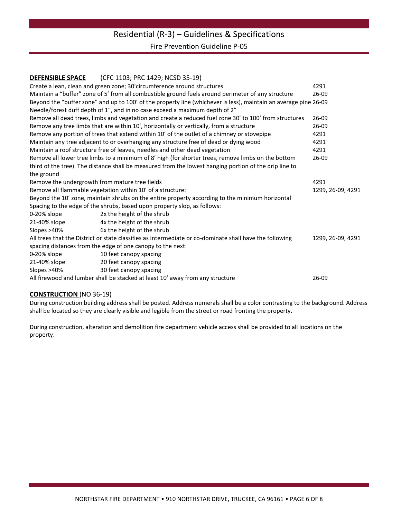#### **DEFENSIBLE SPACE** (CFC 1103; PRC 1429; NCSD 35-19)

|                                                                                                                  | Create a lean, clean and green zone; 30' circumference around structures                                | 4291              |
|------------------------------------------------------------------------------------------------------------------|---------------------------------------------------------------------------------------------------------|-------------------|
| Maintain a "buffer" zone of 5' from all combustible ground fuels around perimeter of any structure               | $26-09$                                                                                                 |                   |
| Beyond the "buffer zone" and up to 100' of the property line (whichever is less), maintain an average pine 26-09 |                                                                                                         |                   |
|                                                                                                                  | Needle/forest duff depth of 1", and in no case exceed a maximum depth of 2"                             |                   |
|                                                                                                                  | Remove all dead trees, limbs and vegetation and create a reduced fuel zone 30' to 100' from structures  | $26-09$           |
| Remove any tree limbs that are within 10', horizontally or vertically, from a structure                          | 26-09                                                                                                   |                   |
| Remove any portion of trees that extend within 10' of the outlet of a chimney or stovepipe                       | 4291                                                                                                    |                   |
| Maintain any tree adjacent to or overhanging any structure free of dead or dying wood                            | 4291                                                                                                    |                   |
| Maintain a roof structure free of leaves, needles and other dead vegetation                                      | 4291                                                                                                    |                   |
| Remove all lower tree limbs to a minimum of 8' high (for shorter trees, remove limbs on the bottom               | $26-09$                                                                                                 |                   |
|                                                                                                                  | third of the tree). The distance shall be measured from the lowest hanging portion of the drip line to  |                   |
| the ground                                                                                                       |                                                                                                         |                   |
| Remove the undergrowth from mature tree fields                                                                   |                                                                                                         | 4291              |
|                                                                                                                  | Remove all flammable vegetation within 10' of a structure:                                              | 1299, 26-09, 4291 |
|                                                                                                                  | Beyond the 10' zone, maintain shrubs on the entire property according to the minimum horizontal         |                   |
|                                                                                                                  | Spacing to the edge of the shrubs, based upon property slop, as follows:                                |                   |
| 0-20% slope                                                                                                      | 2x the height of the shrub                                                                              |                   |
| 21-40% slope                                                                                                     | 4x the height of the shrub                                                                              |                   |
| Slopes >40%                                                                                                      | 6x the height of the shrub                                                                              |                   |
|                                                                                                                  | All trees that the District or state classifies as intermediate or co-dominate shall have the following | 1299, 26-09, 4291 |
|                                                                                                                  | spacing distances from the edge of one canopy to the next:                                              |                   |
| 0-20% slope                                                                                                      | 10 feet canopy spacing                                                                                  |                   |
| 21-40% slope                                                                                                     | 20 feet canopy spacing                                                                                  |                   |
| Slopes >40%                                                                                                      | 30 feet canopy spacing                                                                                  |                   |
| All firewood and lumber shall be stacked at least 10' away from any structure                                    |                                                                                                         | 26-09             |

#### **CONSTRUCTION** (NO 36-19)

During construction building address shall be posted. Address numerals shall be a color contrasting to the background. Address shall be located so they are clearly visible and legible from the street or road fronting the property.

During construction, alteration and demolition fire department vehicle access shall be provided to all locations on the property.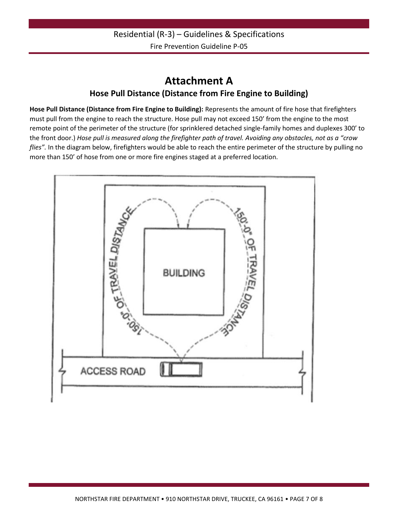## **Attachment A Hose Pull Distance (Distance from Fire Engine to Building)**

**Hose Pull Distance (Distance from Fire Engine to Building):** Represents the amount of fire hose that firefighters must pull from the engine to reach the structure. Hose pull may not exceed 150' from the engine to the most remote point of the perimeter of the structure (for sprinklered detached single-family homes and duplexes 300' to the front door.) *Hose pull is measured along the firefighter path of travel. Avoiding any obstacles, not as a "crow flies".* In the diagram below, firefighters would be able to reach the entire perimeter of the structure by pulling no more than 150' of hose from one or more fire engines staged at a preferred location.